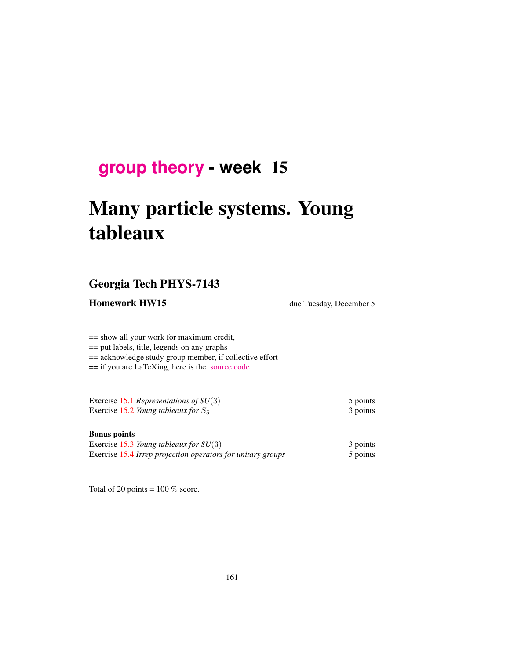## **[group theory](http://birdtracks.eu/courses/PHYS-7143-17/schedule.html) - week** 15

# Many particle systems. Young tableaux

#### Georgia Tech PHYS-7143

**Homework HW15** due Tuesday, December 5

== show all your work for maximum credit, == put labels, title, legends on any graphs == acknowledge study group member, if collective effort == if you are LaTeXing, here is the [source code](http://birdtracks.eu/courses/PHYS-7143-17/exerWeek15.tex)

Exercise 15.1 *Representations of SU*(3) 5 points Exercise 15.2 *Young tableaux for*  $S_5$  3 points

#### Bonus points

| Exercise 15.3 Young tableaux for $SU(3)$                    | 3 points |
|-------------------------------------------------------------|----------|
| Exercise 15.4 Irrep projection operators for unitary groups | 5 points |

Total of 20 points =  $100\%$  score.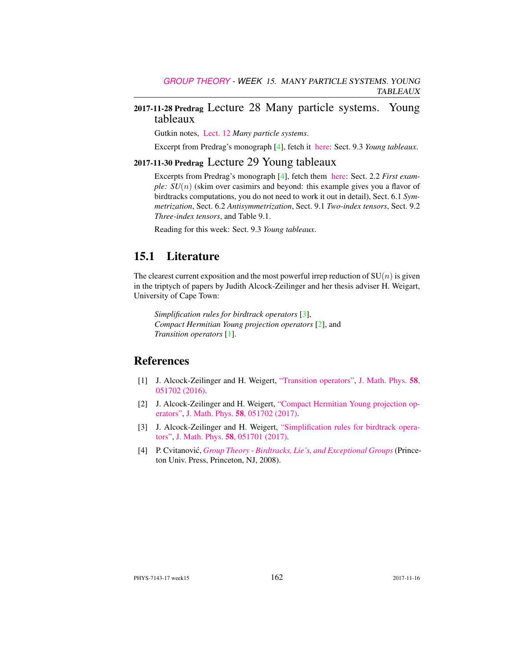## 2017-11-28 Predrag Lecture 28 Many particle systems. Young tableaux

Gutkin notes, [Lect. 12](http://birdtracks.eu/courses/PHYS-7143-17/groups.pdf) *Many particle systems*.

Excerpt from Predrag's monograph [4], fetch it [here:](http://birdtracks.eu/courses/PHYS-7143-17/week11lect22.pdf) Sect. 9.3 *Young tableaux*.

## 2017-11-30 Predrag Lecture 29 Young tableaux

Excerpts from Predrag's monograph [4], fetch them [here:](http://birdtracks.eu/courses/PHYS-7143-17/week11lect22.pdf) Sect. 2.2 *First example: SU(n)* (skim over casimirs and beyond: this example gives you a flavor of birdtracks computations, you do not need to work it out in detail), Sect. 6.1 *Symmetrization*, Sect. 6.2 *Antisymmetrization*, Sect. 9.1 *Two-index tensors*, Sect. 9.2 *Three-index tensors*, and Table 9.1.

Reading for this week: Sect. 9.3 *Young tableaux*.

## 15.1 Literature

The clearest current exposition and the most powerful irrep reduction of  $SU(n)$  is given in the triptych of papers by Judith Alcock-Zeilinger and her thesis adviser H. Weigart, University of Cape Town:

*Simplification rules for birdtrack operators* [3], *Compact Hermitian Young projection operators* [2], and *Transition operators* [1].

#### References

- [1] J. Alcock-Zeilinger and H. Weigert, ["Transition operators",](http://dx.doi.org/10.1063/1.4983478) [J. Math. Phys.](http://dx.doi.org/10.1063/1.4983478) 58, [051702 \(2016\).](http://dx.doi.org/10.1063/1.4983478)
- [2] J. Alcock-Zeilinger and H. Weigert, ["Compact Hermitian Young projection op](http://dx.doi.org/10.1063/1.4983478)[erators",](http://dx.doi.org/10.1063/1.4983478) J. Math. Phys. 58[, 051702 \(2017\).](http://dx.doi.org/10.1063/1.4983478)
- [3] J. Alcock-Zeilinger and H. Weigert, ["Simplification rules for birdtrack opera](http://dx.doi.org/10.1063/1.4983477)[tors",](http://dx.doi.org/10.1063/1.4983477) J. Math. Phys. 58[, 051701 \(2017\).](http://dx.doi.org/10.1063/1.4983477)
- [4] P. Cvitanović, *[Group Theory Birdtracks, Lie's, and Exceptional Groups](http://dx.doi.org/10.1515/9781400837670)* (Princeton Univ. Press, Princeton, NJ, 2008).